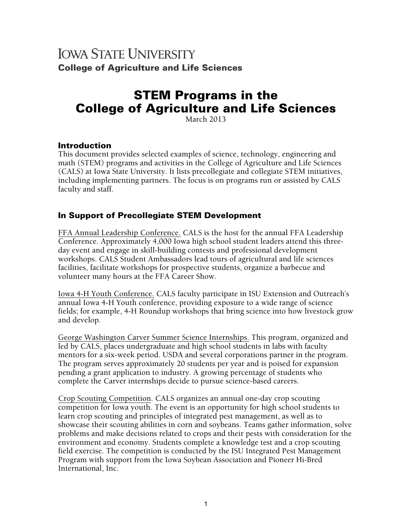# **IOWA STATE UNIVERSITY College of Agriculture and Life Sciences**

# STEM Programs in the College of Agriculture and Life Sciences

March 2013

#### Introduction

This document provides selected examples of science, technology, engineering and math (STEM) programs and activities in the College of Agriculture and Life Sciences (CALS) at Iowa State University. It lists precollegiate and collegiate STEM initiatives, including implementing partners. The focus is on programs run or assisted by CALS faculty and staff.

## In Support of Precollegiate STEM Development

FFA Annual Leadership Conference. CALS is the host for the annual FFA Leadership Conference. Approximately 4,000 Iowa high school student leaders attend this threeday event and engage in skill-building contests and professional development workshops. CALS Student Ambassadors lead tours of agricultural and life sciences facilities, facilitate workshops for prospective students, organize a barbecue and volunteer many hours at the FFA Career Show.

Iowa 4-H Youth Conference. CALS faculty participate in ISU Extension and Outreach's annual Iowa 4-H Youth conference, providing exposure to a wide range of science fields; for example, 4-H Roundup workshops that bring science into how livestock grow and develop.

George Washington Carver Summer Science Internships. This program, organized and led by CALS, places undergraduate and high school students in labs with faculty mentors for a six-week period. USDA and several corporations partner in the program. The program serves approximately 20 students per year and is poised for expansion pending a grant application to industry. A growing percentage of students who complete the Carver internships decide to pursue science-based careers.

Crop Scouting Competition. CALS organizes an annual one-day crop scouting competition for Iowa youth. The event is an opportunity for high school students to learn crop scouting and principles of integrated pest management, as well as to showcase their scouting abilities in corn and soybeans. Teams gather information, solve problems and make decisions related to crops and their pests with consideration for the environment and economy. Students complete a knowledge test and a crop scouting field exercise. The competition is conducted by the ISU Integrated Pest Management Program with support from the Iowa Soybean Association and Pioneer Hi-Bred International, Inc.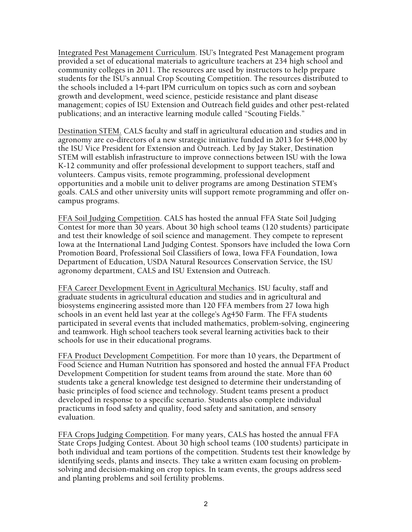Integrated Pest Management Curriculum. ISU's Integrated Pest Management program provided a set of educational materials to agriculture teachers at 234 high school and community colleges in 2011. The resources are used by instructors to help prepare students for the ISU's annual Crop Scouting Competition. The resources distributed to the schools included a 14-part IPM curriculum on topics such as corn and soybean growth and development, weed science, pesticide resistance and plant disease management; copies of ISU Extension and Outreach field guides and other pest-related publications; and an interactive learning module called "Scouting Fields."

Destination STEM. CALS faculty and staff in agricultural education and studies and in agronomy are co-directors of a new strategic initiative funded in 2013 for \$448,000 by the ISU Vice President for Extension and Outreach. Led by Jay Staker, Destination STEM will establish infrastructure to improve connections between ISU with the Iowa K-12 community and offer professional development to support teachers, staff and volunteers. Campus visits, remote programming, professional development opportunities and a mobile unit to deliver programs are among Destination STEM's goals. CALS and other university units will support remote programming and offer oncampus programs.

FFA Soil Judging Competition. CALS has hosted the annual FFA State Soil Judging Contest for more than 30 years. About 30 high school teams (120 students) participate and test their knowledge of soil science and management. They compete to represent Iowa at the International Land Judging Contest. Sponsors have included the Iowa Corn Promotion Board, Professional Soil Classifiers of Iowa, Iowa FFA Foundation, Iowa Department of Education, USDA Natural Resources Conservation Service, the ISU agronomy department, CALS and ISU Extension and Outreach.

FFA Career Development Event in Agricultural Mechanics. ISU faculty, staff and graduate students in agricultural education and studies and in agricultural and biosystems engineering assisted more than 120 FFA members from 27 Iowa high schools in an event held last year at the college's Ag450 Farm. The FFA students participated in several events that included mathematics, problem-solving, engineering and teamwork. High school teachers took several learning activities back to their schools for use in their educational programs.

FFA Product Development Competition. For more than 10 years, the Department of Food Science and Human Nutrition has sponsored and hosted the annual FFA Product Development Competition for student teams from around the state. More than 60 students take a general knowledge test designed to determine their understanding of basic principles of food science and technology. Student teams present a product developed in response to a specific scenario. Students also complete individual practicums in food safety and quality, food safety and sanitation, and sensory evaluation.

FFA Crops Judging Competition. For many years, CALS has hosted the annual FFA State Crops Judging Contest. About 30 high school teams (100 students) participate in both individual and team portions of the competition. Students test their knowledge by identifying seeds, plants and insects. They take a written exam focusing on problemsolving and decision-making on crop topics. In team events, the groups address seed and planting problems and soil fertility problems.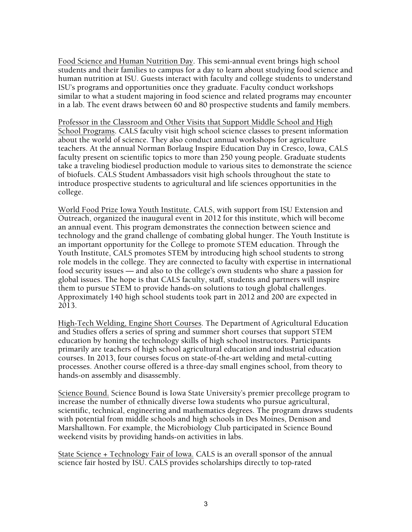Food Science and Human Nutrition Day. This semi-annual event brings high school students and their families to campus for a day to learn about studying food science and human nutrition at ISU. Guests interact with faculty and college students to understand ISU's programs and opportunities once they graduate. Faculty conduct workshops similar to what a student majoring in food science and related programs may encounter in a lab. The event draws between 60 and 80 prospective students and family members.

Professor in the Classroom and Other Visits that Support Middle School and High School Programs. CALS faculty visit high school science classes to present information about the world of science. They also conduct annual workshops for agriculture teachers. At the annual Norman Borlaug Inspire Education Day in Cresco, Iowa, CALS faculty present on scientific topics to more than 250 young people. Graduate students take a traveling biodiesel production module to various sites to demonstrate the science of biofuels. CALS Student Ambassadors visit high schools throughout the state to introduce prospective students to agricultural and life sciences opportunities in the college.

World Food Prize Iowa Youth Institute. CALS, with support from ISU Extension and Outreach, organized the inaugural event in 2012 for this institute, which will become an annual event. This program demonstrates the connection between science and technology and the grand challenge of combating global hunger. The Youth Institute is an important opportunity for the College to promote STEM education. Through the Youth Institute, CALS promotes STEM by introducing high school students to strong role models in the college. They are connected to faculty with expertise in international food security issues — and also to the college's own students who share a passion for global issues. The hope is that CALS faculty, staff, students and partners will inspire them to pursue STEM to provide hands-on solutions to tough global challenges. Approximately 140 high school students took part in 2012 and 200 are expected in 2013.

High-Tech Welding, Engine Short Courses. The Department of Agricultural Education and Studies offers a series of spring and summer short courses that support STEM education by honing the technology skills of high school instructors. Participants primarily are teachers of high school agricultural education and industrial education courses. In 2013, four courses focus on state-of-the-art welding and metal-cutting processes. Another course offered is a three-day small engines school, from theory to hands-on assembly and disassembly.

Science Bound. Science Bound is Iowa State University's premier precollege program to increase the number of ethnically diverse Iowa students who pursue agricultural, scientific, technical, engineering and mathematics degrees. The program draws students with potential from middle schools and high schools in Des Moines, Denison and Marshalltown. For example, the Microbiology Club participated in Science Bound weekend visits by providing hands-on activities in labs.

State Science + Technology Fair of Iowa. CALS is an overall sponsor of the annual science fair hosted by ISU. CALS provides scholarships directly to top-rated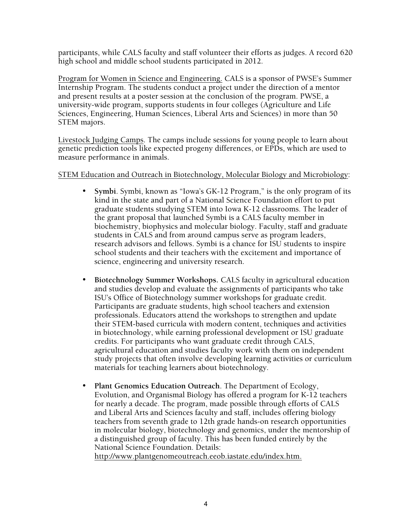participants, while CALS faculty and staff volunteer their efforts as judges. A record 620 high school and middle school students participated in 2012.

Program for Women in Science and Engineering. CALS is a sponsor of PWSE's Summer Internship Program. The students conduct a project under the direction of a mentor and present results at a poster session at the conclusion of the program. PWSE, a university-wide program, supports students in four colleges (Agriculture and Life Sciences, Engineering, Human Sciences, Liberal Arts and Sciences) in more than 50 STEM majors.

Livestock Judging Camps. The camps include sessions for young people to learn about genetic prediction tools like expected progeny differences, or EPDs, which are used to measure performance in animals.

#### STEM Education and Outreach in Biotechnology, Molecular Biology and Microbiology:

- **Symbi**. Symbi, known as "Iowa's GK-12 Program," is the only program of its kind in the state and part of a National Science Foundation effort to put graduate students studying STEM into Iowa K-12 classrooms. The leader of the grant proposal that launched Symbi is a CALS faculty member in biochemistry, biophysics and molecular biology. Faculty, staff and graduate students in CALS and from around campus serve as program leaders, research advisors and fellows. Symbi is a chance for ISU students to inspire school students and their teachers with the excitement and importance of science, engineering and university research.
- **Biotechnology Summer Workshops.** CALS faculty in agricultural education and studies develop and evaluate the assignments of participants who take ISU's Office of Biotechnology summer workshops for graduate credit. Participants are graduate students, high school teachers and extension professionals. Educators attend the workshops to strengthen and update their STEM-based curricula with modern content, techniques and activities in biotechnology, while earning professional development or ISU graduate credits. For participants who want graduate credit through CALS, agricultural education and studies faculty work with them on independent study projects that often involve developing learning activities or curriculum materials for teaching learners about biotechnology.
- **Plant Genomics Education Outreach**. The Department of Ecology, Evolution, and Organismal Biology has offered a program for K-12 teachers for nearly a decade. The program, made possible through efforts of CALS and Liberal Arts and Sciences faculty and staff, includes offering biology teachers from seventh grade to 12th grade hands-on research opportunities in molecular biology, biotechnology and genomics, under the mentorship of a distinguished group of faculty. This has been funded entirely by the National Science Foundation. Details: http://www.plantgenomeoutreach.eeob.iastate.edu/index.htm.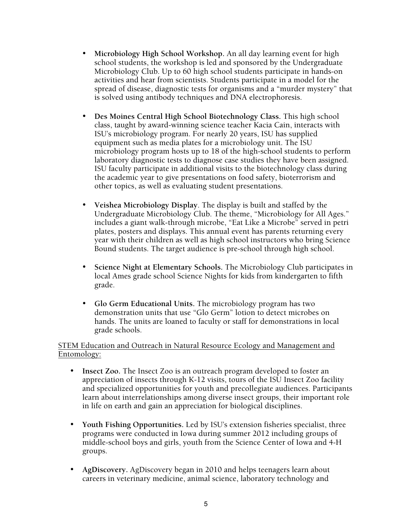- **Microbiology High School Workshop.** An all day learning event for high school students, the workshop is led and sponsored by the Undergraduate Microbiology Club. Up to 60 high school students participate in hands-on activities and hear from scientists. Students participate in a model for the spread of disease, diagnostic tests for organisms and a "murder mystery" that is solved using antibody techniques and DNA electrophoresis.
- **Des Moines Central High School Biotechnology Class.** This high school class, taught by award-winning science teacher Kacia Cain, interacts with ISU's microbiology program. For nearly 20 years, ISU has supplied equipment such as media plates for a microbiology unit. The ISU microbiology program hosts up to 18 of the high-school students to perform laboratory diagnostic tests to diagnose case studies they have been assigned. ISU faculty participate in additional visits to the biotechnology class during the academic year to give presentations on food safety, bioterrorism and other topics, as well as evaluating student presentations.
- **Veishea Microbiology Display**. The display is built and staffed by the Undergraduate Microbiology Club. The theme, "Microbiology for All Ages." includes a giant walk-through microbe, "Eat Like a Microbe" served in petri plates, posters and displays. This annual event has parents returning every year with their children as well as high school instructors who bring Science Bound students. The target audience is pre-school through high school.
- **Science Night at Elementary Schools.** The Microbiology Club participates in local Ames grade school Science Nights for kids from kindergarten to fifth grade.
- **Glo Germ Educational Units.** The microbiology program has two demonstration units that use "Glo Germ" lotion to detect microbes on hands. The units are loaned to faculty or staff for demonstrations in local grade schools.

#### STEM Education and Outreach in Natural Resource Ecology and Management and Entomology:

- **Insect Zoo.** The Insect Zoo is an outreach program developed to foster an appreciation of insects through K-12 visits, tours of the ISU Insect Zoo facility and specialized opportunities for youth and precollegiate audiences. Participants learn about interrelationships among diverse insect groups, their important role in life on earth and gain an appreciation for biological disciplines.
- **Youth Fishing Opportunities.** Led by ISU's extension fisheries specialist, three programs were conducted in Iowa during summer 2012 including groups of middle-school boys and girls, youth from the Science Center of Iowa and 4-H groups.
- **AgDiscovery.** AgDiscovery began in 2010 and helps teenagers learn about careers in veterinary medicine, animal science, laboratory technology and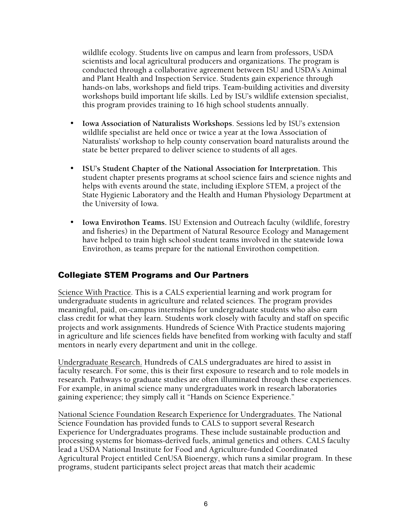wildlife ecology. Students live on campus and learn from professors, USDA scientists and local agricultural producers and organizations. The program is conducted through a collaborative agreement between ISU and USDA's Animal and Plant Health and Inspection Service. Students gain experience through hands-on labs, workshops and field trips. Team-building activities and diversity workshops build important life skills. Led by ISU's wildlife extension specialist, this program provides training to 16 high school students annually.

- **Iowa Association of Naturalists Workshops**. Sessions led by ISU's extension wildlife specialist are held once or twice a year at the Iowa Association of Naturalists' workshop to help county conservation board naturalists around the state be better prepared to deliver science to students of all ages.
- **ISU's Student Chapter of the National Association for Interpretation.** This student chapter presents programs at school science fairs and science nights and helps with events around the state, including iExplore STEM, a project of the State Hygienic Laboratory and the Health and Human Physiology Department at the University of Iowa.
- **Iowa Envirothon Teams.** ISU Extension and Outreach faculty (wildlife, forestry and fisheries) in the Department of Natural Resource Ecology and Management have helped to train high school student teams involved in the statewide Iowa Envirothon, as teams prepare for the national Envirothon competition.

#### Collegiate STEM Programs and Our Partners

Science With Practice. This is a CALS experiential learning and work program for undergraduate students in agriculture and related sciences. The program provides meaningful, paid, on-campus internships for undergraduate students who also earn class credit for what they learn. Students work closely with faculty and staff on specific projects and work assignments. Hundreds of Science With Practice students majoring in agriculture and life sciences fields have benefited from working with faculty and staff mentors in nearly every department and unit in the college.

Undergraduate Research. Hundreds of CALS undergraduates are hired to assist in faculty research. For some, this is their first exposure to research and to role models in research. Pathways to graduate studies are often illuminated through these experiences. For example, in animal science many undergraduates work in research laboratories gaining experience; they simply call it "Hands on Science Experience."

National Science Foundation Research Experience for Undergraduates. The National Science Foundation has provided funds to CALS to support several Research Experience for Undergraduates programs. These include sustainable production and processing systems for biomass-derived fuels, animal genetics and others. CALS faculty lead a USDA National Institute for Food and Agriculture-funded Coordinated Agricultural Project entitled CenUSA Bioenergy, which runs a similar program. In these programs, student participants select project areas that match their academic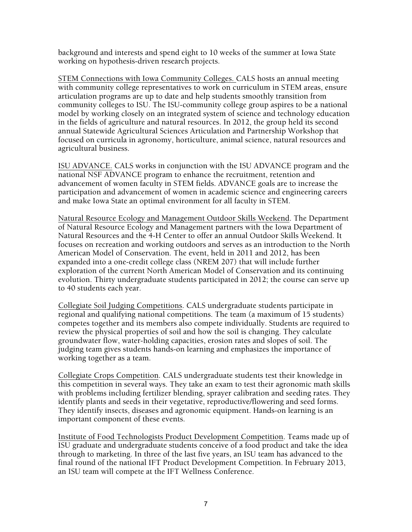background and interests and spend eight to 10 weeks of the summer at Iowa State working on hypothesis-driven research projects.

STEM Connections with Iowa Community Colleges. CALS hosts an annual meeting with community college representatives to work on curriculum in STEM areas, ensure articulation programs are up to date and help students smoothly transition from community colleges to ISU. The ISU-community college group aspires to be a national model by working closely on an integrated system of science and technology education in the fields of agriculture and natural resources. In 2012, the group held its second annual Statewide Agricultural Sciences Articulation and Partnership Workshop that focused on curricula in agronomy, horticulture, animal science, natural resources and agricultural business.

ISU ADVANCE. CALS works in conjunction with the ISU ADVANCE program and the national NSF ADVANCE program to enhance the recruitment, retention and advancement of women faculty in STEM fields. ADVANCE goals are to increase the participation and advancement of women in academic science and engineering careers and make Iowa State an optimal environment for all faculty in STEM.

Natural Resource Ecology and Management Outdoor Skills Weekend. The Department of Natural Resource Ecology and Management partners with the Iowa Department of Natural Resources and the 4-H Center to offer an annual Outdoor Skills Weekend. It focuses on recreation and working outdoors and serves as an introduction to the North American Model of Conservation. The event, held in 2011 and 2012, has been expanded into a one-credit college class (NREM 207) that will include further exploration of the current North American Model of Conservation and its continuing evolution. Thirty undergraduate students participated in 2012; the course can serve up to 40 students each year.

Collegiate Soil Judging Competitions. CALS undergraduate students participate in regional and qualifying national competitions. The team (a maximum of 15 students) competes together and its members also compete individually. Students are required to review the physical properties of soil and how the soil is changing. They calculate groundwater flow, water-holding capacities, erosion rates and slopes of soil. The judging team gives students hands-on learning and emphasizes the importance of working together as a team.

Collegiate Crops Competition. CALS undergraduate students test their knowledge in this competition in several ways. They take an exam to test their agronomic math skills with problems including fertilizer blending, sprayer calibration and seeding rates. They identify plants and seeds in their vegetative, reproductive/flowering and seed forms. They identify insects, diseases and agronomic equipment. Hands-on learning is an important component of these events.

Institute of Food Technologists Product Development Competition. Teams made up of ISU graduate and undergraduate students conceive of a food product and take the idea through to marketing. In three of the last five years, an ISU team has advanced to the final round of the national IFT Product Development Competition. In February 2013, an ISU team will compete at the IFT Wellness Conference.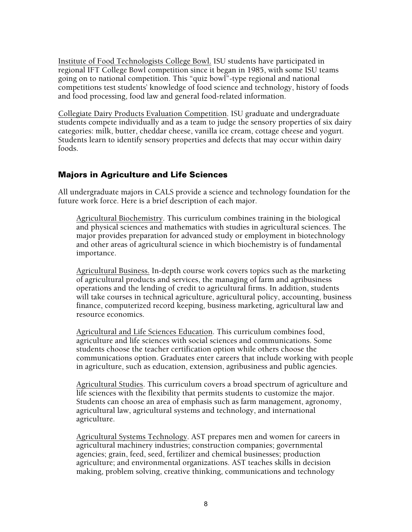Institute of Food Technologists College Bowl. ISU students have participated in regional IFT College Bowl competition since it began in 1985, with some ISU teams going on to national competition. This "quiz bowl"-type regional and national competitions test students' knowledge of food science and technology, history of foods and food processing, food law and general food-related information.

Collegiate Dairy Products Evaluation Competition. ISU graduate and undergraduate students compete individually and as a team to judge the sensory properties of six dairy categories: milk, butter, cheddar cheese, vanilla ice cream, cottage cheese and yogurt. Students learn to identify sensory properties and defects that may occur within dairy foods.

### Majors in Agriculture and Life Sciences

All undergraduate majors in CALS provide a science and technology foundation for the future work force. Here is a brief description of each major.

Agricultural Biochemistry. This curriculum combines training in the biological and physical sciences and mathematics with studies in agricultural sciences. The major provides preparation for advanced study or employment in biotechnology and other areas of agricultural science in which biochemistry is of fundamental importance.

Agricultural Business. In-depth course work covers topics such as the marketing of agricultural products and services, the managing of farm and agribusiness operations and the lending of credit to agricultural firms. In addition, students will take courses in technical agriculture, agricultural policy, accounting, business finance, computerized record keeping, business marketing, agricultural law and resource economics.

Agricultural and Life Sciences Education. This curriculum combines food, agriculture and life sciences with social sciences and communications. Some students choose the teacher certification option while others choose the communications option. Graduates enter careers that include working with people in agriculture, such as education, extension, agribusiness and public agencies.

Agricultural Studies. This curriculum covers a broad spectrum of agriculture and life sciences with the flexibility that permits students to customize the major. Students can choose an area of emphasis such as farm management, agronomy, agricultural law, agricultural systems and technology, and international agriculture.

Agricultural Systems Technology. AST prepares men and women for careers in agricultural machinery industries; construction companies; governmental agencies; grain, feed, seed, fertilizer and chemical businesses; production agriculture; and environmental organizations. AST teaches skills in decision making, problem solving, creative thinking, communications and technology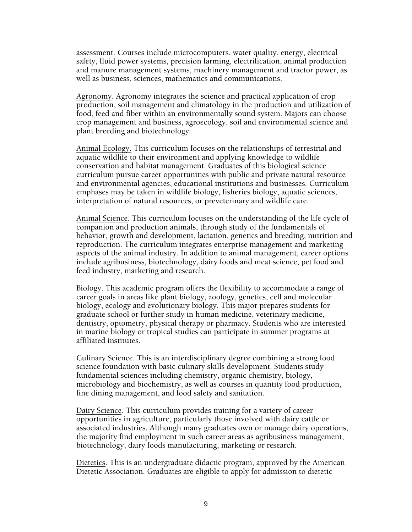assessment. Courses include microcomputers, water quality, energy, electrical safety, fluid power systems, precision farming, electrification, animal production and manure management systems, machinery management and tractor power, as well as business, sciences, mathematics and communications.

Agronomy. Agronomy integrates the science and practical application of crop production, soil management and climatology in the production and utilization of food, feed and fiber within an environmentally sound system. Majors can choose crop management and business, agroecology, soil and environmental science and plant breeding and biotechnology.

Animal Ecology. This curriculum focuses on the relationships of terrestrial and aquatic wildlife to their environment and applying knowledge to wildlife conservation and habitat management. Graduates of this biological science curriculum pursue career opportunities with public and private natural resource and environmental agencies, educational institutions and businesses. Curriculum emphases may be taken in wildlife biology, fisheries biology, aquatic sciences, interpretation of natural resources, or preveterinary and wildlife care.

Animal Science. This curriculum focuses on the understanding of the life cycle of companion and production animals, through study of the fundamentals of behavior, growth and development, lactation, genetics and breeding, nutrition and reproduction. The curriculum integrates enterprise management and marketing aspects of the animal industry. In addition to animal management, career options include agribusiness, biotechnology, dairy foods and meat science, pet food and feed industry, marketing and research.

Biology. This academic program offers the flexibility to accommodate a range of career goals in areas like plant biology, zoology, genetics, cell and molecular biology, ecology and evolutionary biology. This major prepares students for graduate school or further study in human medicine, veterinary medicine, dentistry, optometry, physical therapy or pharmacy. Students who are interested in marine biology or tropical studies can participate in summer programs at affiliated institutes.

Culinary Science. This is an interdisciplinary degree combining a strong food science foundation with basic culinary skills development. Students study fundamental sciences including chemistry, organic chemistry, biology, microbiology and biochemistry, as well as courses in quantity food production, fine dining management, and food safety and sanitation.

Dairy Science. This curriculum provides training for a variety of career opportunities in agriculture, particularly those involved with dairy cattle or associated industries. Although many graduates own or manage dairy operations, the majority find employment in such career areas as agribusiness management, biotechnology, dairy foods manufacturing, marketing or research.

Dietetics. This is an undergraduate didactic program, approved by the American Dietetic Association. Graduates are eligible to apply for admission to dietetic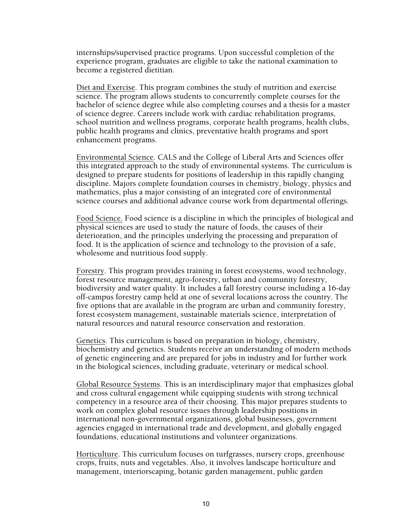internships/supervised practice programs. Upon successful completion of the experience program, graduates are eligible to take the national examination to become a registered dietitian.

Diet and Exercise. This program combines the study of nutrition and exercise science. The program allows students to concurrently complete courses for the bachelor of science degree while also completing courses and a thesis for a master of science degree. Careers include work with cardiac rehabilitation programs, school nutrition and wellness programs, corporate health programs, health clubs, public health programs and clinics, preventative health programs and sport enhancement programs.

Environmental Science. CALS and the College of Liberal Arts and Sciences offer this integrated approach to the study of environmental systems. The curriculum is designed to prepare students for positions of leadership in this rapidly changing discipline. Majors complete foundation courses in chemistry, biology, physics and mathematics, plus a major consisting of an integrated core of environmental science courses and additional advance course work from departmental offerings.

Food Science. Food science is a discipline in which the principles of biological and physical sciences are used to study the nature of foods, the causes of their deterioration, and the principles underlying the processing and preparation of food. It is the application of science and technology to the provision of a safe, wholesome and nutritious food supply.

Forestry. This program provides training in forest ecosystems, wood technology, forest resource management, agro-forestry, urban and community forestry, biodiversity and water quality. It includes a fall forestry course including a 16-day off-campus forestry camp held at one of several locations across the country. The five options that are available in the program are urban and community forestry, forest ecosystem management, sustainable materials science, interpretation of natural resources and natural resource conservation and restoration.

Genetics. This curriculum is based on preparation in biology, chemistry, biochemistry and genetics. Students receive an understanding of modern methods of genetic engineering and are prepared for jobs in industry and for further work in the biological sciences, including graduate, veterinary or medical school.

Global Resource Systems. This is an interdisciplinary major that emphasizes global and cross cultural engagement while equipping students with strong technical competency in a resource area of their choosing. This major prepares students to work on complex global resource issues through leadership positions in international non-governmental organizations, global businesses, government agencies engaged in international trade and development, and globally engaged foundations, educational institutions and volunteer organizations.

Horticulture. This curriculum focuses on turfgrasses, nursery crops, greenhouse crops, fruits, nuts and vegetables. Also, it involves landscape horticulture and management, interiorscaping, botanic garden management, public garden